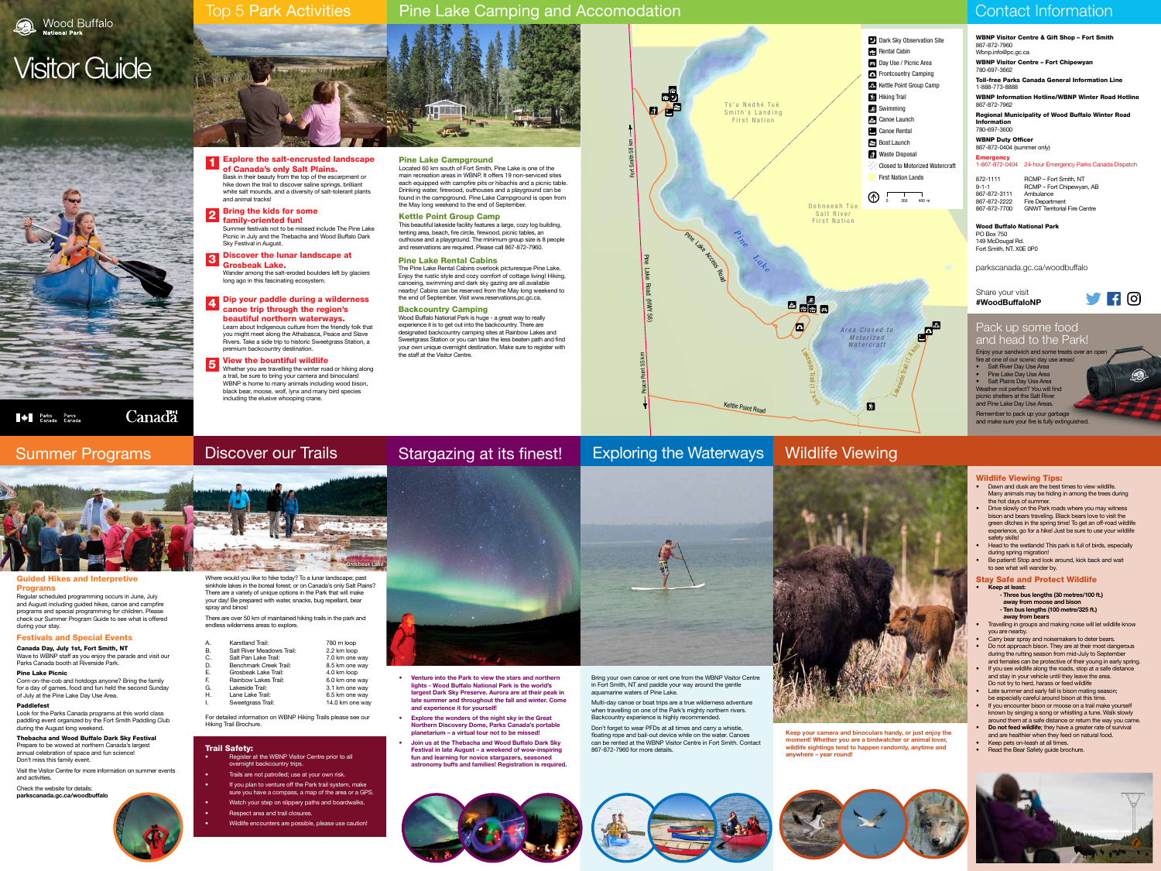# Stargazing at its finest!



- **• Venture into the Park to view the stars and northern lights - Wood Buffalo National Park is the world's largest Dark Sky Preserve. Aurora are at their peak in late summer and throughout the fall and winter. Come and experience it for yourself!**
- **• Explore the wonders of the night sky in the Great Northern Discovery Dome, Parks Canada's portable planetarium – a virtual tour not to be missed!**
- **• Join us at the Thebacha and Wood Buffalo Dark Sky**  Trail Safety: **Safety:** Wildlife sightings tend the WRNP Visitor Centre prior to all **any section of the second** starrazes sessened anywhere anywhere – year round! **fun and learning for novice stargazers, seasoned astronomy buffs and families! Registration is required.**



# Top 5 Park Activities

# Pine Lake Camping and Accomodation **Contact Information** Contact Information





# Visitor Guide

Explore the salt-encrusted landscape **Explore the salt-encrusted la<br>
of Canada's only Salt Plains.** Bask in their beauty from the top of the escarpment or

hike down the trail to discover saline springs, brilliant white salt mounds, and a diversity of salt-tolerant plants and animal tracks!

family-oriented fun! Summer festivals not to be missed include The Pine Lake Picnic in July and the Thebacha and Wood Buffalo Dark Sky Festival in August.

Wander among the salt-eroded boulders left by glaciers long ago in this fascinating ecosystem.



# Exploring the Waterways



beautiful northern waterways. Learn about Indigenous culture from the friendly folk that you might meet along the Athabasca, Peace and Slave Rivers. Take a side trip to historic Sweetgrass Station, a premium backcountry destination.

### Bring the kids for some 2

#### Discover the lunar landscape at Grosbeak Lake. 3

### Dip your paddle during a wilderness canoe trip through the region's 4

#### View the bountiful wildlife Whether you are travelling the winter road or hiking along a trail, be sure to bring your camera and binoculars! WBNP is home to many animals including wood bison, black bear, moose, wolf, lynx and many bird species including the elusive whooping crane. 5

# Summer Programs

### Guided Hikes and Interpretive Programs

Regular scheduled programming occurs in June, July and August including guided hikes, canoe and campfire programs and special programming for children. Please check our Summer Program Guide to see what is offered during your stay.

### Festivals and Special Events

- · **Three bus lengths (30 metres/100 ft.) away from moose and bison**
- · **Ten bus lengths (100 metre/325 ft.)**
- **away from bears**  • Travelling in groups and making noise will let wildlife know you are nearby.
- Carry bear spray and noisemakers to deter bears.
- Do not approach bison. They are at their most dangerous during the rutting season from mid-July to September
- and females can be protective of their young in early spring. If you see wildlife along the roads, stop at a safe distance and stay in your vehicle until they leave the area.
- Do not try to herd, harass or feed wildlife Late summer and early fall is bison mating season;
- be especially careful around bison at this time.
- If you encounter bison or moose on a trail make yourself known by singing a song or whistling a tune. Walk slowly around them at a safe distance or return the way you came. **• Do not feed wildlife**; they have a greater rate of survival
- and are healthier when they feed on natural food. • Keep pets on-leash at all times.
- Read the Bear Safety guide brochure.



Canada Day, July 1st, Fort Smith, NT Wave to WBNP staff as you enjoy the parade and visit our Parks Canada booth at Riverside Park.





### Pine Lake Picnic

Corn-on-the-cob and hotdogs anyone? Bring the family for a day of games, food and fun held the second Sunday of July at the Pine Lake Day Use Area.

### Paddlefest

Look for the Parks Canada programs at this world class paddling event organized by the Fort Smith Paddling Club during the August long weekend.

#### Thebacha and Wood Buffalo Dark Sky Festival Prepare to be wowed at northern Canada's largest

WBNP Visitor Centre & Gift Shop – Fort Smith Toll-free Parks Canada General Information Line WBNP Information Hotline/WBNP Winter Road Hotline Regional Municipality of Wood Buffalo Winter Road 1-867-872-0404 24-hour Emergency Parks Canada Dispatch **VHO** 

annual celebration of space and fun science! Don't miss this family event.

Visit the Visitor Centre for more information on summer events and activities.

Check the website for details: **parkscanada.gc.ca/woodbuffalo**



### Pine Lake Campground Located 60 km south of Fort Smith, Pine Lake is one of the

main recreation areas in WBNP. It offers 19 non-serviced sites each equipped with campfire pits or hibachis and a picnic table. Drinking water, firewood, outhouses and a playground can be found in the campground. Pine Lake Campground is open from the May long weekend to the end of September.

### Kettle Point Group Camp

This beautiful lakeside facility features a large, cozy log building, tenting area, beach, fire circle, firewood, picnic tables, an outhouse and a playground. The minimum group size is 8 people and reservations are required. Please call 867-872-7960.

# Pine Lake Rental Cabins

The Pine Lake Rental Cabins overlook picturesque Pine Lake. Enjoy the rustic style and cozy comfort of cottage living! Hiking, canoeing, swimming and dark sky gazing are all available nearby! Cabins can be reserved from the May long weekend to the end of September. Visit www.reservations.pc.gc.ca.

- Register at the WBNP Visitor Centre prior to all overnight backcountry trips.
- Trails are not patrolled; use at your own risk.
- If you plan to venture off the Park trail system, make sure you have a compass, a map of the area or a GPS.
- Watch your step on slippery paths and boardwalks.
- Respect area and trail closures.
- Wildlife encounters are possible, please use caution!

# Backcountry Camping

Wood Buffalo National Park is huge - a great way to really experience it is to get out into the backcountry. There are designated backcountry camping sites at Rainbow Lakes and Sweetgrass Station or you can take the less beaten path and find your own unique overnight destination. Make sure to register with the staff at the Visitor Centre.

**Allen Parks** Parcs<br>Canada Canada

Bring your own canoe or rent one from the WBNP Visitor Centre in Fort Smith, NT and paddle your way around the gentle aquamarine waters of Pine Lake.

Multi-day canoe or boat trips are a true wilderness adventure when travelling on one of the Park's mighty northern rivers. Backcountry experience is highly recommended.

Don't forget to wear PFDs at all times and carry a whistle, floating rope and bail-out device while on the water. Canoes can be rented at the WBNP Visitor Centre in Fort Smith. Contact 867-872-7960 for more details.



# Wildlife Viewing Tips:

- Dawn and dusk are the best times to view wildlife. Many animals may be hiding in among the trees during the hot days of summer.
- Drive slowly on the Park roads where you may witness bison and bears traveling. Black bears love to visit the green ditches in the spring time! To get an off-road wildlife experience, go for a hike! Just be sure to use your wildlife safety skills!
- Head to the wetlands! This park is full of birds, especially
- during spring migration! • Be patient! Stop and look around, kick back and wait to see what will wander by.
- Stay Safe and Protect Wildlife

# **• Keep at least:**



Where would you like to hike today? To a lunar landscape; past sinkhole lakes in the boreal forest; or on Canada's only Salt Plains? There are a variety of unique options in the Park that will make your day! Be prepared with water, snacks, bug repellant, bear spray and binos!

There are over 50 km of maintained hiking trails in the park and endless wilderness areas to explore.

| А. | Karstland Trail: | 780 m loop |
|----|------------------|------------|
|    |                  |            |
|    |                  |            |

- B. Salt River Meadows Trail: 2.2 km loop
- C. Salt Pan Lake Trail: 7.0 km one way
- D. Benchmark Creek Trail: 8.5 km one way
- Grosbeak Lake Trail: 4.0 km loop<br>Rainbow Lakes Trail: 6.0 km one w F. Rainbow Lakes Trail: 6.0 km one way
- G. Lakeside Trail: 3.1 km one way
- H. Lane Lake Trail: 6.5 km one way Sweetgrass Trail: 14.0 km one way
- For detailed information on WBNP Hiking Trails please see our Hiking Trail Brochure.



Canadä

**Keep your camera and binoculars handy, or just enjoy the moment! Whether you are a birdwatcher or animal lover, wildlife sightings tend to happen randomly, anytime and**